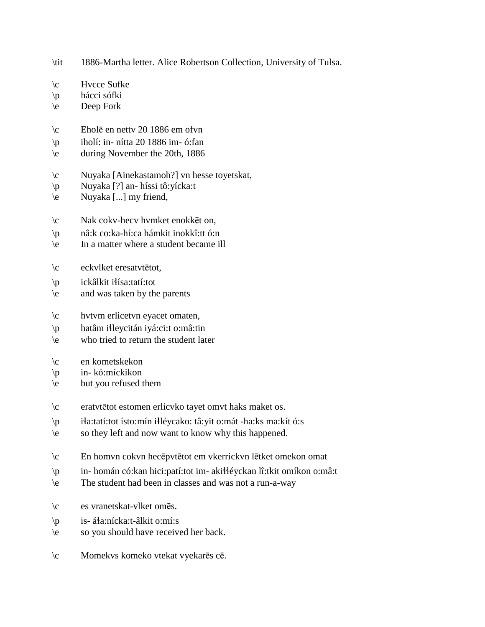\tit 1886-Martha letter. Alice Robertson Collection, University of Tulsa.

 $\c$  Hvcce Sufke \p hácci sófki \e Deep Fork \c Eholē en nettv 20 1886 em ofvn \p iholí: in- nítta 20 1886 im- ó:fan \e during November the 20th, 1886 \c Nuyaka [Ainekastamoh?] vn hesse toyetskat, \p Nuyaka [?] an- híssi tô:yícka:t \e Nuyaka [...] my friend, \c Nak cokv-hecv hvmket enokkēt on, \p nâ:k co:ka-hí:ca hámkit inokkî:tt ó:n \e In a matter where a student became ill \c eckvlket eresatvtētot,  $\pi$  ickâlkit itísa:tatí:tot \e and was taken by the parents \c hvtvm erlicetvn eyacet omaten, \p hatâm i!leycitán iyá:ci:t o:mâ:tin \e who tried to return the student later \c en kometskekon \p in- kó:míckikon \e but you refused them \c eratvtētot estomen erlicvko tayet omvt haks maket os. \p i!a:tatí:tot ísto:mín i!léycako: tâ:yit o:mát -ha:ks ma:kít ó:s \e so they left and now want to know why this happened. \c En homvn cokvn hecēpvtētot em vkerrickvn lētket omekon omat \p in- homán có:kan hici:patí:tot im- aki!!éyckan lî:tkit omíkon o:mâ:t \e The student had been in classes and was not a run-a-way \c es vranetskat-vlket omēs. \p is- á!a:nícka:t-âlkit o:mí:s \e so you should have received her back. \c Momekvs komeko vtekat vyekarēs cē.